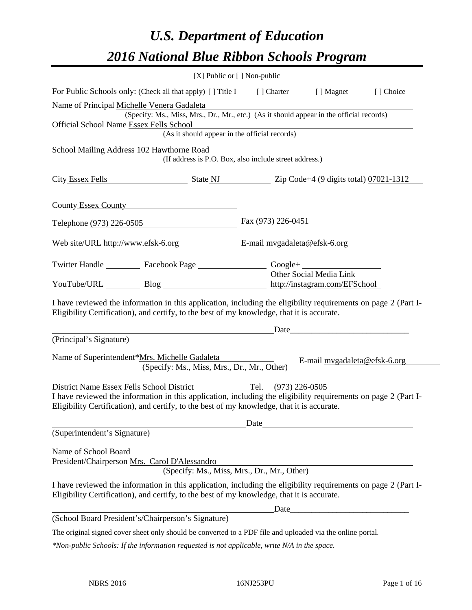# *U.S. Department of Education 2016 National Blue Ribbon Schools Program*

|                                                                                                                                                                                                                                                           | $[X]$ Public or $[ \ ]$ Non-public                                        |                              |           |
|-----------------------------------------------------------------------------------------------------------------------------------------------------------------------------------------------------------------------------------------------------------|---------------------------------------------------------------------------|------------------------------|-----------|
| For Public Schools only: (Check all that apply) [] Title I                                                                                                                                                                                                | [ ] Charter                                                               | [ ] Magnet                   | [] Choice |
| Name of Principal Michelle Venera Gadaleta<br>(Specify: Ms., Miss, Mrs., Dr., Mr., etc.) (As it should appear in the official records)<br>Official School Name Essex Fells School<br>(As it should appear in the official records)                        |                                                                           |                              |           |
| School Mailing Address 102 Hawthorne Road<br>(If address is P.O. Box, also include street address.)                                                                                                                                                       |                                                                           |                              |           |
|                                                                                                                                                                                                                                                           | City Essex Fells State NJ State NJ Zip Code+4 (9 digits total) 07021-1312 |                              |           |
| County Essex County                                                                                                                                                                                                                                       |                                                                           |                              |           |
| Telephone (973) 226-0505                                                                                                                                                                                                                                  | Fax $(973)$ 226-0451                                                      |                              |           |
| Web site/URL http://www.efsk-6.org E-mail mygadaleta@efsk-6.org                                                                                                                                                                                           |                                                                           |                              |           |
| Twitter Handle ___________ Facebook Page ___________________ Google+ ____________                                                                                                                                                                         |                                                                           | Other Social Media Link      |           |
| YouTube/URL Blog Blog http://instagram.com/EFSchool                                                                                                                                                                                                       |                                                                           |                              |           |
| I have reviewed the information in this application, including the eligibility requirements on page 2 (Part I-<br>Eligibility Certification), and certify, to the best of my knowledge, that it is accurate.                                              |                                                                           | Date                         |           |
| (Principal's Signature)                                                                                                                                                                                                                                   |                                                                           |                              |           |
| Name of Superintendent*Mrs. Michelle Gadaleta<br>(Specify: Ms., Miss, Mrs., Dr., Mr., Other)                                                                                                                                                              |                                                                           | E-mail mygadaleta@efsk-6.org |           |
| District Name Essex Fells School District<br>I have reviewed the information in this application, including the eligibility requirements on page 2 (Part I-<br>Eligibility Certification), and certify, to the best of my knowledge, that it is accurate. | Tel. (973) 226-0505                                                       |                              |           |
|                                                                                                                                                                                                                                                           |                                                                           |                              |           |
| (Superintendent's Signature)                                                                                                                                                                                                                              |                                                                           |                              |           |
| Name of School Board<br>President/Chairperson Mrs. Carol D'Alessandro<br>(Specify: Ms., Miss, Mrs., Dr., Mr., Other)                                                                                                                                      |                                                                           |                              |           |
| I have reviewed the information in this application, including the eligibility requirements on page 2 (Part I-<br>Eligibility Certification), and certify, to the best of my knowledge, that it is accurate.                                              |                                                                           |                              |           |
|                                                                                                                                                                                                                                                           |                                                                           |                              |           |
| (School Board President's/Chairperson's Signature)<br>The original gianod cover short only should be converted to a DDE file and unloaded via the online portal                                                                                           |                                                                           |                              |           |

The original signed cover sheet only should be converted to a PDF file and uploaded via the online portal.

*\*Non-public Schools: If the information requested is not applicable, write N/A in the space.*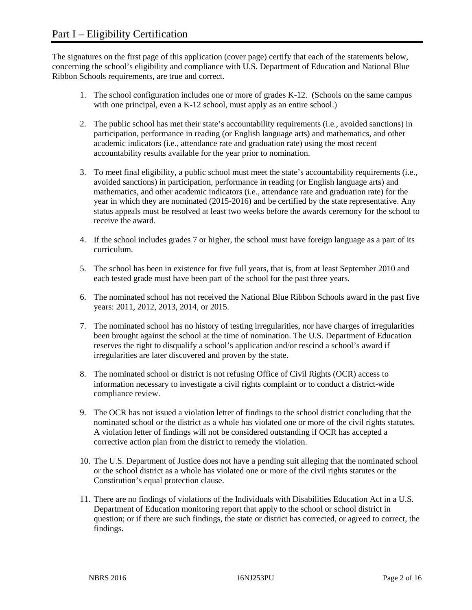The signatures on the first page of this application (cover page) certify that each of the statements below, concerning the school's eligibility and compliance with U.S. Department of Education and National Blue Ribbon Schools requirements, are true and correct.

- 1. The school configuration includes one or more of grades K-12. (Schools on the same campus with one principal, even a K-12 school, must apply as an entire school.)
- 2. The public school has met their state's accountability requirements (i.e., avoided sanctions) in participation, performance in reading (or English language arts) and mathematics, and other academic indicators (i.e., attendance rate and graduation rate) using the most recent accountability results available for the year prior to nomination.
- 3. To meet final eligibility, a public school must meet the state's accountability requirements (i.e., avoided sanctions) in participation, performance in reading (or English language arts) and mathematics, and other academic indicators (i.e., attendance rate and graduation rate) for the year in which they are nominated (2015-2016) and be certified by the state representative. Any status appeals must be resolved at least two weeks before the awards ceremony for the school to receive the award.
- 4. If the school includes grades 7 or higher, the school must have foreign language as a part of its curriculum.
- 5. The school has been in existence for five full years, that is, from at least September 2010 and each tested grade must have been part of the school for the past three years.
- 6. The nominated school has not received the National Blue Ribbon Schools award in the past five years: 2011, 2012, 2013, 2014, or 2015.
- 7. The nominated school has no history of testing irregularities, nor have charges of irregularities been brought against the school at the time of nomination. The U.S. Department of Education reserves the right to disqualify a school's application and/or rescind a school's award if irregularities are later discovered and proven by the state.
- 8. The nominated school or district is not refusing Office of Civil Rights (OCR) access to information necessary to investigate a civil rights complaint or to conduct a district-wide compliance review.
- 9. The OCR has not issued a violation letter of findings to the school district concluding that the nominated school or the district as a whole has violated one or more of the civil rights statutes. A violation letter of findings will not be considered outstanding if OCR has accepted a corrective action plan from the district to remedy the violation.
- 10. The U.S. Department of Justice does not have a pending suit alleging that the nominated school or the school district as a whole has violated one or more of the civil rights statutes or the Constitution's equal protection clause.
- 11. There are no findings of violations of the Individuals with Disabilities Education Act in a U.S. Department of Education monitoring report that apply to the school or school district in question; or if there are such findings, the state or district has corrected, or agreed to correct, the findings.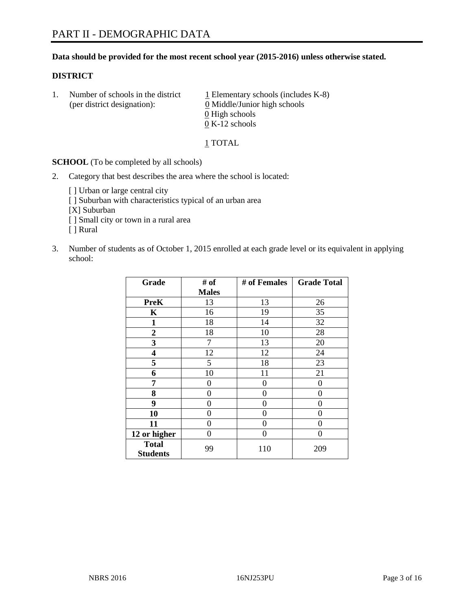#### **Data should be provided for the most recent school year (2015-2016) unless otherwise stated.**

#### **DISTRICT**

1. Number of schools in the district  $1$  Elementary schools (includes K-8) (per district designation): 0 Middle/Junior high schools 0 High schools 0 K-12 schools

#### 1 TOTAL

**SCHOOL** (To be completed by all schools)

- 2. Category that best describes the area where the school is located:
	- [] Urban or large central city [ ] Suburban with characteristics typical of an urban area [X] Suburban [ ] Small city or town in a rural area [ ] Rural
- 3. Number of students as of October 1, 2015 enrolled at each grade level or its equivalent in applying school:

| Grade                           | # of         | # of Females | <b>Grade Total</b> |
|---------------------------------|--------------|--------------|--------------------|
|                                 | <b>Males</b> |              |                    |
| <b>PreK</b>                     | 13           | 13           | 26                 |
| $\mathbf K$                     | 16           | 19           | 35                 |
| 1                               | 18           | 14           | 32                 |
| $\overline{2}$                  | 18           | 10           | 28                 |
| 3                               | 7            | 13           | 20                 |
| 4                               | 12           | 12           | 24                 |
| 5                               | 5            | 18           | 23                 |
| 6                               | 10           | 11           | 21                 |
| 7                               | 0            | 0            | 0                  |
| 8                               | 0            | 0            | 0                  |
| 9                               | 0            | 0            | 0                  |
| 10                              | 0            | 0            | 0                  |
| 11                              | 0            | 0            | 0                  |
| 12 or higher                    | 0            | 0            | 0                  |
| <b>Total</b><br><b>Students</b> | 99           | 110          | 209                |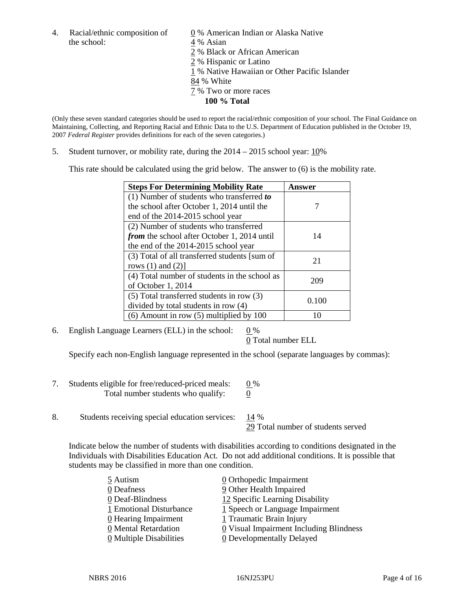the school: 4 % Asian

4. Racial/ethnic composition of  $\qquad \qquad \underline{0}$  % American Indian or Alaska Native 2 % Black or African American 2 % Hispanic or Latino 1 % Native Hawaiian or Other Pacific Islander 84 % White

- 7 % Two or more races
	- **100 % Total**

(Only these seven standard categories should be used to report the racial/ethnic composition of your school. The Final Guidance on Maintaining, Collecting, and Reporting Racial and Ethnic Data to the U.S. Department of Education published in the October 19, 2007 *Federal Register* provides definitions for each of the seven categories.)

5. Student turnover, or mobility rate, during the  $2014 - 2015$  school year:  $10\%$ 

This rate should be calculated using the grid below. The answer to (6) is the mobility rate.

| <b>Steps For Determining Mobility Rate</b>         | Answer |  |
|----------------------------------------------------|--------|--|
| (1) Number of students who transferred to          |        |  |
| the school after October 1, 2014 until the         |        |  |
| end of the 2014-2015 school year                   |        |  |
| (2) Number of students who transferred             |        |  |
| <i>from</i> the school after October 1, 2014 until | 14     |  |
| the end of the 2014-2015 school year               |        |  |
| (3) Total of all transferred students [sum of      | 21     |  |
| rows $(1)$ and $(2)$ ]                             |        |  |
| (4) Total number of students in the school as      | 209    |  |
| of October 1, 2014                                 |        |  |
| $(5)$ Total transferred students in row $(3)$      | 0.100  |  |
| divided by total students in row (4)               |        |  |
| $(6)$ Amount in row $(5)$ multiplied by 100        | 10     |  |

6. English Language Learners (ELL) in the school:  $0\%$ 

0 Total number ELL

Specify each non-English language represented in the school (separate languages by commas):

- 7. Students eligible for free/reduced-priced meals:  $0\%$ Total number students who qualify:  $\qquad 0$
- 8. Students receiving special education services: 14 %

29 Total number of students served

Indicate below the number of students with disabilities according to conditions designated in the Individuals with Disabilities Education Act. Do not add additional conditions. It is possible that students may be classified in more than one condition.

| 5 Autism                              | 0 Orthopedic Impairment                 |
|---------------------------------------|-----------------------------------------|
| 0 Deafness                            | 9 Other Health Impaired                 |
| 0 Deaf-Blindness                      | 12 Specific Learning Disability         |
| 1 Emotional Disturbance               | $1$ Speech or Language Impairment       |
| 0 Hearing Impairment                  | 1 Traumatic Brain Injury                |
| 0 Mental Retardation                  | 0 Visual Impairment Including Blindness |
| $\underline{0}$ Multiple Disabilities | <b>0</b> Developmentally Delayed        |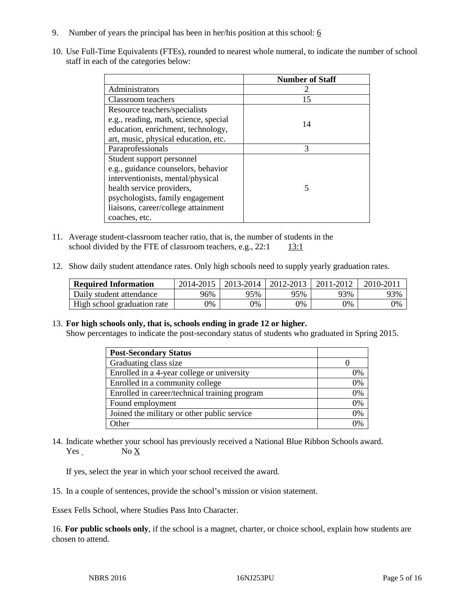- 9. Number of years the principal has been in her/his position at this school:  $6$
- 10. Use Full-Time Equivalents (FTEs), rounded to nearest whole numeral, to indicate the number of school staff in each of the categories below:

|                                       | <b>Number of Staff</b> |
|---------------------------------------|------------------------|
| Administrators                        |                        |
| Classroom teachers                    | 15                     |
| Resource teachers/specialists         |                        |
| e.g., reading, math, science, special | 14                     |
| education, enrichment, technology,    |                        |
| art, music, physical education, etc.  |                        |
| Paraprofessionals                     | 3                      |
| Student support personnel             |                        |
| e.g., guidance counselors, behavior   |                        |
| interventionists, mental/physical     |                        |
| health service providers,             | 5                      |
| psychologists, family engagement      |                        |
| liaisons, career/college attainment   |                        |
| coaches, etc.                         |                        |

- 11. Average student-classroom teacher ratio, that is, the number of students in the school divided by the FTE of classroom teachers, e.g.,  $22:1$  13:1
- 12. Show daily student attendance rates. Only high schools need to supply yearly graduation rates.

| <b>Required Information</b> | 2014-2015 | 2013-2014  | 2012-2013  | 2011-2012 | 2010-2011 |
|-----------------------------|-----------|------------|------------|-----------|-----------|
| Daily student attendance    | 96%       | 95%        | 95%        | 93%       | 93%       |
| High school graduation rate | $0\%$     | $\gamma\%$ | $\gamma\%$ | 9%        | 0%        |

13. **For high schools only, that is, schools ending in grade 12 or higher.** 

Show percentages to indicate the post-secondary status of students who graduated in Spring 2015.

| <b>Post-Secondary Status</b>                  |    |
|-----------------------------------------------|----|
| Graduating class size                         |    |
| Enrolled in a 4-year college or university    | 0% |
| Enrolled in a community college               | 0% |
| Enrolled in career/technical training program | 0% |
| Found employment                              | 0% |
| Joined the military or other public service   | 0% |
| Other                                         | 0% |

14. Indicate whether your school has previously received a National Blue Ribbon Schools award. Yes No X

If yes, select the year in which your school received the award.

15. In a couple of sentences, provide the school's mission or vision statement.

Essex Fells School, where Studies Pass Into Character.

16. **For public schools only**, if the school is a magnet, charter, or choice school, explain how students are chosen to attend.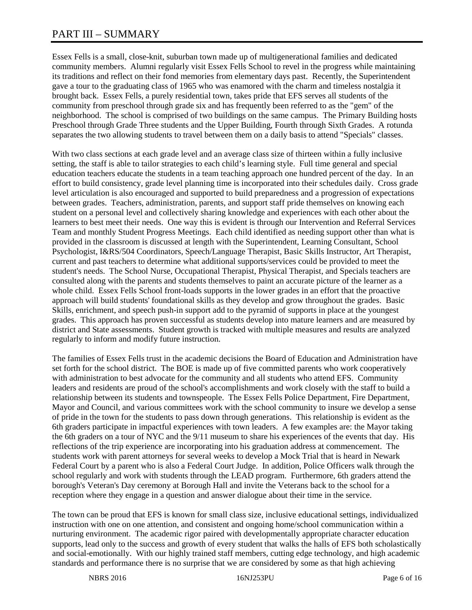# PART III – SUMMARY

Essex Fells is a small, close-knit, suburban town made up of multigenerational families and dedicated community members. Alumni regularly visit Essex Fells School to revel in the progress while maintaining its traditions and reflect on their fond memories from elementary days past. Recently, the Superintendent gave a tour to the graduating class of 1965 who was enamored with the charm and timeless nostalgia it brought back. Essex Fells, a purely residential town, takes pride that EFS serves all students of the community from preschool through grade six and has frequently been referred to as the "gem" of the neighborhood. The school is comprised of two buildings on the same campus. The Primary Building hosts Preschool through Grade Three students and the Upper Building, Fourth through Sixth Grades. A rotunda separates the two allowing students to travel between them on a daily basis to attend "Specials" classes.

With two class sections at each grade level and an average class size of thirteen within a fully inclusive setting, the staff is able to tailor strategies to each child's learning style. Full time general and special education teachers educate the students in a team teaching approach one hundred percent of the day. In an effort to build consistency, grade level planning time is incorporated into their schedules daily. Cross grade level articulation is also encouraged and supported to build preparedness and a progression of expectations between grades. Teachers, administration, parents, and support staff pride themselves on knowing each student on a personal level and collectively sharing knowledge and experiences with each other about the learners to best meet their needs. One way this is evident is through our Intervention and Referral Services Team and monthly Student Progress Meetings. Each child identified as needing support other than what is provided in the classroom is discussed at length with the Superintendent, Learning Consultant, School Psychologist, I&RS/504 Coordinators, Speech/Language Therapist, Basic Skills Instructor, Art Therapist, current and past teachers to determine what additional supports/services could be provided to meet the student's needs. The School Nurse, Occupational Therapist, Physical Therapist, and Specials teachers are consulted along with the parents and students themselves to paint an accurate picture of the learner as a whole child. Essex Fells School front-loads supports in the lower grades in an effort that the proactive approach will build students' foundational skills as they develop and grow throughout the grades. Basic Skills, enrichment, and speech push-in support add to the pyramid of supports in place at the youngest grades. This approach has proven successful as students develop into mature learners and are measured by district and State assessments. Student growth is tracked with multiple measures and results are analyzed regularly to inform and modify future instruction.

The families of Essex Fells trust in the academic decisions the Board of Education and Administration have set forth for the school district. The BOE is made up of five committed parents who work cooperatively with administration to best advocate for the community and all students who attend EFS. Community leaders and residents are proud of the school's accomplishments and work closely with the staff to build a relationship between its students and townspeople. The Essex Fells Police Department, Fire Department, Mayor and Council, and various committees work with the school community to insure we develop a sense of pride in the town for the students to pass down through generations. This relationship is evident as the 6th graders participate in impactful experiences with town leaders. A few examples are: the Mayor taking the 6th graders on a tour of NYC and the 9/11 museum to share his experiences of the events that day. His reflections of the trip experience are incorporating into his graduation address at commencement. The students work with parent attorneys for several weeks to develop a Mock Trial that is heard in Newark Federal Court by a parent who is also a Federal Court Judge. In addition, Police Officers walk through the school regularly and work with students through the LEAD program. Furthermore, 6th graders attend the borough's Veteran's Day ceremony at Borough Hall and invite the Veterans back to the school for a reception where they engage in a question and answer dialogue about their time in the service.

The town can be proud that EFS is known for small class size, inclusive educational settings, individualized instruction with one on one attention, and consistent and ongoing home/school communication within a nurturing environment. The academic rigor paired with developmentally appropriate character education supports, lead only to the success and growth of every student that walks the halls of EFS both scholastically and social-emotionally. With our highly trained staff members, cutting edge technology, and high academic standards and performance there is no surprise that we are considered by some as that high achieving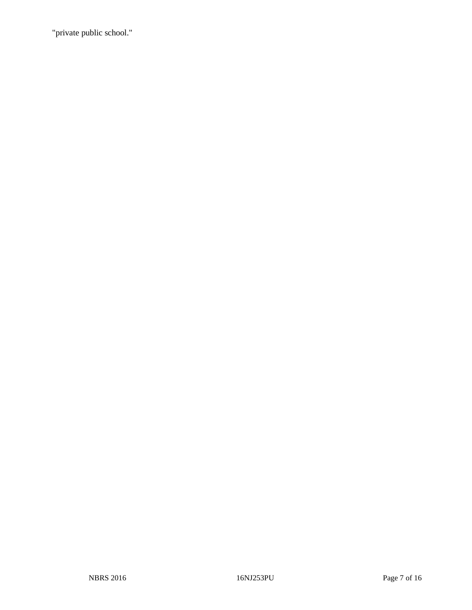"private public school."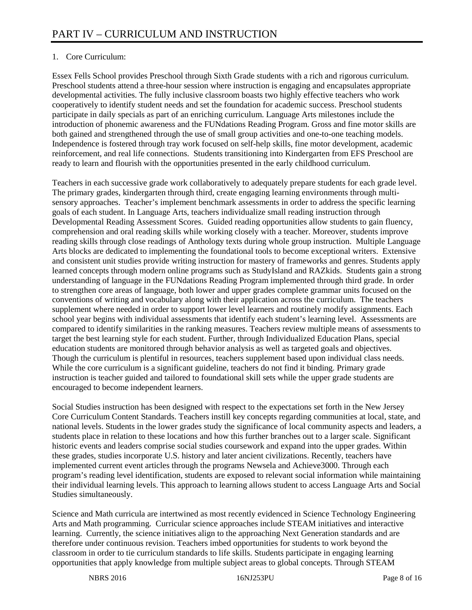# 1. Core Curriculum:

Essex Fells School provides Preschool through Sixth Grade students with a rich and rigorous curriculum. Preschool students attend a three-hour session where instruction is engaging and encapsulates appropriate developmental activities. The fully inclusive classroom boasts two highly effective teachers who work cooperatively to identify student needs and set the foundation for academic success. Preschool students participate in daily specials as part of an enriching curriculum. Language Arts milestones include the introduction of phonemic awareness and the FUNdations Reading Program. Gross and fine motor skills are both gained and strengthened through the use of small group activities and one-to-one teaching models. Independence is fostered through tray work focused on self-help skills, fine motor development, academic reinforcement, and real life connections. Students transitioning into Kindergarten from EFS Preschool are ready to learn and flourish with the opportunities presented in the early childhood curriculum.

Teachers in each successive grade work collaboratively to adequately prepare students for each grade level. The primary grades, kindergarten through third, create engaging learning environments through multisensory approaches. Teacher's implement benchmark assessments in order to address the specific learning goals of each student. In Language Arts, teachers individualize small reading instruction through Developmental Reading Assessment Scores. Guided reading opportunities allow students to gain fluency, comprehension and oral reading skills while working closely with a teacher. Moreover, students improve reading skills through close readings of Anthology texts during whole group instruction. Multiple Language Arts blocks are dedicated to implementing the foundational tools to become exceptional writers. Extensive and consistent unit studies provide writing instruction for mastery of frameworks and genres. Students apply learned concepts through modern online programs such as StudyIsland and RAZkids. Students gain a strong understanding of language in the FUNdations Reading Program implemented through third grade. In order to strengthen core areas of language, both lower and upper grades complete grammar units focused on the conventions of writing and vocabulary along with their application across the curriculum. The teachers supplement where needed in order to support lower level learners and routinely modify assignments. Each school year begins with individual assessments that identify each student's learning level. Assessments are compared to identify similarities in the ranking measures. Teachers review multiple means of assessments to target the best learning style for each student. Further, through Individualized Education Plans, special education students are monitored through behavior analysis as well as targeted goals and objectives. Though the curriculum is plentiful in resources, teachers supplement based upon individual class needs. While the core curriculum is a significant guideline, teachers do not find it binding. Primary grade instruction is teacher guided and tailored to foundational skill sets while the upper grade students are encouraged to become independent learners.

Social Studies instruction has been designed with respect to the expectations set forth in the New Jersey Core Curriculum Content Standards. Teachers instill key concepts regarding communities at local, state, and national levels. Students in the lower grades study the significance of local community aspects and leaders, a students place in relation to these locations and how this further branches out to a larger scale. Significant historic events and leaders comprise social studies coursework and expand into the upper grades. Within these grades, studies incorporate U.S. history and later ancient civilizations. Recently, teachers have implemented current event articles through the programs Newsela and Achieve3000. Through each program's reading level identification, students are exposed to relevant social information while maintaining their individual learning levels. This approach to learning allows student to access Language Arts and Social Studies simultaneously.

Science and Math curricula are intertwined as most recently evidenced in Science Technology Engineering Arts and Math programming. Curricular science approaches include STEAM initiatives and interactive learning. Currently, the science initiatives align to the approaching Next Generation standards and are therefore under continuous revision. Teachers imbed opportunities for students to work beyond the classroom in order to tie curriculum standards to life skills. Students participate in engaging learning opportunities that apply knowledge from multiple subject areas to global concepts. Through STEAM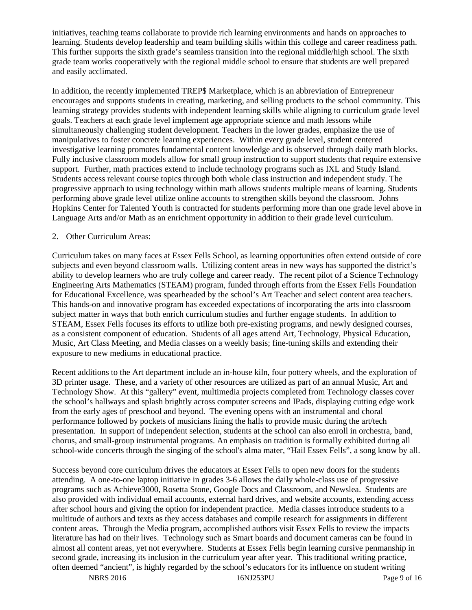initiatives, teaching teams collaborate to provide rich learning environments and hands on approaches to learning. Students develop leadership and team building skills within this college and career readiness path. This further supports the sixth grade's seamless transition into the regional middle/high school. The sixth grade team works cooperatively with the regional middle school to ensure that students are well prepared and easily acclimated.

In addition, the recently implemented TREP\$ Marketplace, which is an abbreviation of Entrepreneur encourages and supports students in creating, marketing, and selling products to the school community. This learning strategy provides students with independent learning skills while aligning to curriculum grade level goals. Teachers at each grade level implement age appropriate science and math lessons while simultaneously challenging student development. Teachers in the lower grades, emphasize the use of manipulatives to foster concrete learning experiences. Within every grade level, student centered investigative learning promotes fundamental content knowledge and is observed through daily math blocks. Fully inclusive classroom models allow for small group instruction to support students that require extensive support. Further, math practices extend to include technology programs such as IXL and Study Island. Students access relevant course topics through both whole class instruction and independent study. The progressive approach to using technology within math allows students multiple means of learning. Students performing above grade level utilize online accounts to strengthen skills beyond the classroom. Johns Hopkins Center for Talented Youth is contracted for students performing more than one grade level above in Language Arts and/or Math as an enrichment opportunity in addition to their grade level curriculum.

#### 2. Other Curriculum Areas:

Curriculum takes on many faces at Essex Fells School, as learning opportunities often extend outside of core subjects and even beyond classroom walls. Utilizing content areas in new ways has supported the district's ability to develop learners who are truly college and career ready. The recent pilot of a Science Technology Engineering Arts Mathematics (STEAM) program, funded through efforts from the Essex Fells Foundation for Educational Excellence, was spearheaded by the school's Art Teacher and select content area teachers. This hands-on and innovative program has exceeded expectations of incorporating the arts into classroom subject matter in ways that both enrich curriculum studies and further engage students. In addition to STEAM, Essex Fells focuses its efforts to utilize both pre-existing programs, and newly designed courses, as a consistent component of education. Students of all ages attend Art, Technology, Physical Education, Music, Art Class Meeting, and Media classes on a weekly basis; fine-tuning skills and extending their exposure to new mediums in educational practice.

Recent additions to the Art department include an in-house kiln, four pottery wheels, and the exploration of 3D printer usage. These, and a variety of other resources are utilized as part of an annual Music, Art and Technology Show. At this "gallery" event, multimedia projects completed from Technology classes cover the school's hallways and splash brightly across computer screens and IPads, displaying cutting edge work from the early ages of preschool and beyond. The evening opens with an instrumental and choral performance followed by pockets of musicians lining the halls to provide music during the art/tech presentation. In support of independent selection, students at the school can also enroll in orchestra, band, chorus, and small-group instrumental programs. An emphasis on tradition is formally exhibited during all school-wide concerts through the singing of the school's alma mater, "Hail Essex Fells", a song know by all.

Success beyond core curriculum drives the educators at Essex Fells to open new doors for the students attending. A one-to-one laptop initiative in grades 3-6 allows the daily whole-class use of progressive programs such as Achieve3000, Rosetta Stone, Google Docs and Classroom, and Newslea. Students are also provided with individual email accounts, external hard drives, and website accounts, extending access after school hours and giving the option for independent practice. Media classes introduce students to a multitude of authors and texts as they access databases and compile research for assignments in different content areas. Through the Media program, accomplished authors visit Essex Fells to review the impacts literature has had on their lives. Technology such as Smart boards and document cameras can be found in almost all content areas, yet not everywhere. Students at Essex Fells begin learning cursive penmanship in second grade, increasing its inclusion in the curriculum year after year. This traditional writing practice, often deemed "ancient", is highly regarded by the school's educators for its influence on student writing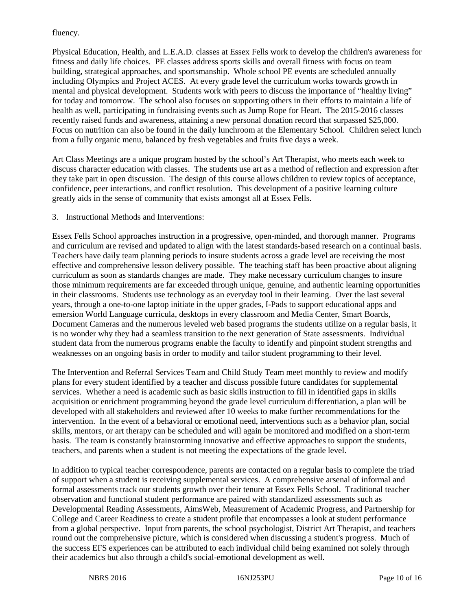### fluency.

Physical Education, Health, and L.E.A.D. classes at Essex Fells work to develop the children's awareness for fitness and daily life choices. PE classes address sports skills and overall fitness with focus on team building, strategical approaches, and sportsmanship. Whole school PE events are scheduled annually including Olympics and Project ACES. At every grade level the curriculum works towards growth in mental and physical development. Students work with peers to discuss the importance of "healthy living" for today and tomorrow. The school also focuses on supporting others in their efforts to maintain a life of health as well, participating in fundraising events such as Jump Rope for Heart. The 2015-2016 classes recently raised funds and awareness, attaining a new personal donation record that surpassed \$25,000. Focus on nutrition can also be found in the daily lunchroom at the Elementary School. Children select lunch from a fully organic menu, balanced by fresh vegetables and fruits five days a week.

Art Class Meetings are a unique program hosted by the school's Art Therapist, who meets each week to discuss character education with classes. The students use art as a method of reflection and expression after they take part in open discussion. The design of this course allows children to review topics of acceptance, confidence, peer interactions, and conflict resolution. This development of a positive learning culture greatly aids in the sense of community that exists amongst all at Essex Fells.

3. Instructional Methods and Interventions:

Essex Fells School approaches instruction in a progressive, open-minded, and thorough manner. Programs and curriculum are revised and updated to align with the latest standards-based research on a continual basis. Teachers have daily team planning periods to insure students across a grade level are receiving the most effective and comprehensive lesson delivery possible. The teaching staff has been proactive about aligning curriculum as soon as standards changes are made. They make necessary curriculum changes to insure those minimum requirements are far exceeded through unique, genuine, and authentic learning opportunities in their classrooms. Students use technology as an everyday tool in their learning. Over the last several years, through a one-to-one laptop initiate in the upper grades, I-Pads to support educational apps and emersion World Language curricula, desktops in every classroom and Media Center, Smart Boards, Document Cameras and the numerous leveled web based programs the students utilize on a regular basis, it is no wonder why they had a seamless transition to the next generation of State assessments. Individual student data from the numerous programs enable the faculty to identify and pinpoint student strengths and weaknesses on an ongoing basis in order to modify and tailor student programming to their level.

The Intervention and Referral Services Team and Child Study Team meet monthly to review and modify plans for every student identified by a teacher and discuss possible future candidates for supplemental services. Whether a need is academic such as basic skills instruction to fill in identified gaps in skills acquisition or enrichment programming beyond the grade level curriculum differentiation, a plan will be developed with all stakeholders and reviewed after 10 weeks to make further recommendations for the intervention. In the event of a behavioral or emotional need, interventions such as a behavior plan, social skills, mentors, or art therapy can be scheduled and will again be monitored and modified on a short-term basis. The team is constantly brainstorming innovative and effective approaches to support the students, teachers, and parents when a student is not meeting the expectations of the grade level.

In addition to typical teacher correspondence, parents are contacted on a regular basis to complete the triad of support when a student is receiving supplemental services. A comprehensive arsenal of informal and formal assessments track our students growth over their tenure at Essex Fells School. Traditional teacher observation and functional student performance are paired with standardized assessments such as Developmental Reading Assessments, AimsWeb, Measurement of Academic Progress, and Partnership for College and Career Readiness to create a student profile that encompasses a look at student performance from a global perspective. Input from parents, the school psychologist, District Art Therapist, and teachers round out the comprehensive picture, which is considered when discussing a student's progress. Much of the success EFS experiences can be attributed to each individual child being examined not solely through their academics but also through a child's social-emotional development as well.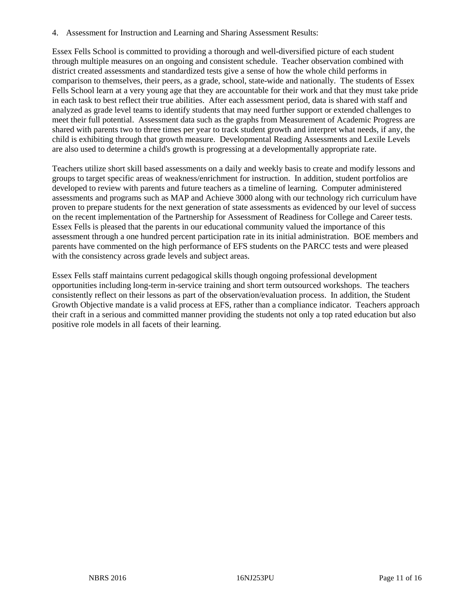4. Assessment for Instruction and Learning and Sharing Assessment Results:

Essex Fells School is committed to providing a thorough and well-diversified picture of each student through multiple measures on an ongoing and consistent schedule. Teacher observation combined with district created assessments and standardized tests give a sense of how the whole child performs in comparison to themselves, their peers, as a grade, school, state-wide and nationally. The students of Essex Fells School learn at a very young age that they are accountable for their work and that they must take pride in each task to best reflect their true abilities. After each assessment period, data is shared with staff and analyzed as grade level teams to identify students that may need further support or extended challenges to meet their full potential. Assessment data such as the graphs from Measurement of Academic Progress are shared with parents two to three times per year to track student growth and interpret what needs, if any, the child is exhibiting through that growth measure. Developmental Reading Assessments and Lexile Levels are also used to determine a child's growth is progressing at a developmentally appropriate rate.

Teachers utilize short skill based assessments on a daily and weekly basis to create and modify lessons and groups to target specific areas of weakness/enrichment for instruction. In addition, student portfolios are developed to review with parents and future teachers as a timeline of learning. Computer administered assessments and programs such as MAP and Achieve 3000 along with our technology rich curriculum have proven to prepare students for the next generation of state assessments as evidenced by our level of success on the recent implementation of the Partnership for Assessment of Readiness for College and Career tests. Essex Fells is pleased that the parents in our educational community valued the importance of this assessment through a one hundred percent participation rate in its initial administration. BOE members and parents have commented on the high performance of EFS students on the PARCC tests and were pleased with the consistency across grade levels and subject areas.

Essex Fells staff maintains current pedagogical skills though ongoing professional development opportunities including long-term in-service training and short term outsourced workshops. The teachers consistently reflect on their lessons as part of the observation/evaluation process. In addition, the Student Growth Objective mandate is a valid process at EFS, rather than a compliance indicator. Teachers approach their craft in a serious and committed manner providing the students not only a top rated education but also positive role models in all facets of their learning.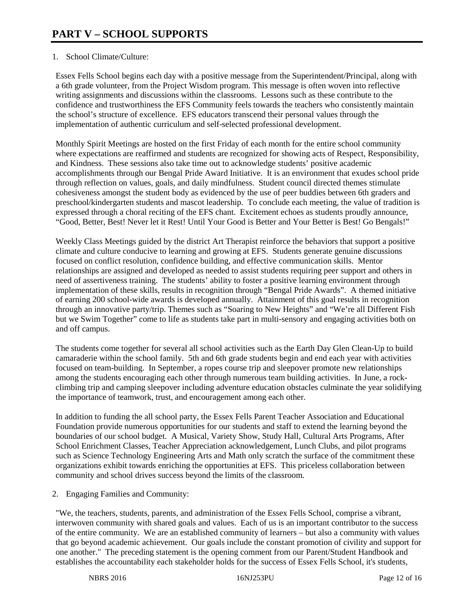## 1. School Climate/Culture:

Essex Fells School begins each day with a positive message from the Superintendent/Principal, along with a 6th grade volunteer, from the Project Wisdom program. This message is often woven into reflective writing assignments and discussions within the classrooms. Lessons such as these contribute to the confidence and trustworthiness the EFS Community feels towards the teachers who consistently maintain the school's structure of excellence. EFS educators transcend their personal values through the implementation of authentic curriculum and self-selected professional development.

Monthly Spirit Meetings are hosted on the first Friday of each month for the entire school community where expectations are reaffirmed and students are recognized for showing acts of Respect, Responsibility, and Kindness. These sessions also take time out to acknowledge students' positive academic accomplishments through our Bengal Pride Award Initiative. It is an environment that exudes school pride through reflection on values, goals, and daily mindfulness. Student council directed themes stimulate cohesiveness amongst the student body as evidenced by the use of peer buddies between 6th graders and preschool/kindergarten students and mascot leadership. To conclude each meeting, the value of tradition is expressed through a choral reciting of the EFS chant. Excitement echoes as students proudly announce, "Good, Better, Best! Never let it Rest! Until Your Good is Better and Your Better is Best! Go Bengals!"

Weekly Class Meetings guided by the district Art Therapist reinforce the behaviors that support a positive climate and culture conducive to learning and growing at EFS. Students generate genuine discussions focused on conflict resolution, confidence building, and effective communication skills. Mentor relationships are assigned and developed as needed to assist students requiring peer support and others in need of assertiveness training. The students' ability to foster a positive learning environment through implementation of these skills, results in recognition through "Bengal Pride Awards". A themed initiative of earning 200 school-wide awards is developed annually. Attainment of this goal results in recognition through an innovative party/trip. Themes such as "Soaring to New Heights" and "We're all Different Fish but we Swim Together" come to life as students take part in multi-sensory and engaging activities both on and off campus.

The students come together for several all school activities such as the Earth Day Glen Clean-Up to build camaraderie within the school family. 5th and 6th grade students begin and end each year with activities focused on team-building. In September, a ropes course trip and sleepover promote new relationships among the students encouraging each other through numerous team building activities. In June, a rockclimbing trip and camping sleepover including adventure education obstacles culminate the year solidifying the importance of teamwork, trust, and encouragement among each other.

In addition to funding the all school party, the Essex Fells Parent Teacher Association and Educational Foundation provide numerous opportunities for our students and staff to extend the learning beyond the boundaries of our school budget. A Musical, Variety Show, Study Hall, Cultural Arts Programs, After School Enrichment Classes, Teacher Appreciation acknowledgement, Lunch Clubs, and pilot programs such as Science Technology Engineering Arts and Math only scratch the surface of the commitment these organizations exhibit towards enriching the opportunities at EFS. This priceless collaboration between community and school drives success beyond the limits of the classroom.

2. Engaging Families and Community:

"We, the teachers, students, parents, and administration of the Essex Fells School, comprise a vibrant, interwoven community with shared goals and values. Each of us is an important contributor to the success of the entire community. We are an established community of learners – but also a community with values that go beyond academic achievement. Our goals include the constant promotion of civility and support for one another." The preceding statement is the opening comment from our Parent/Student Handbook and establishes the accountability each stakeholder holds for the success of Essex Fells School, it's students,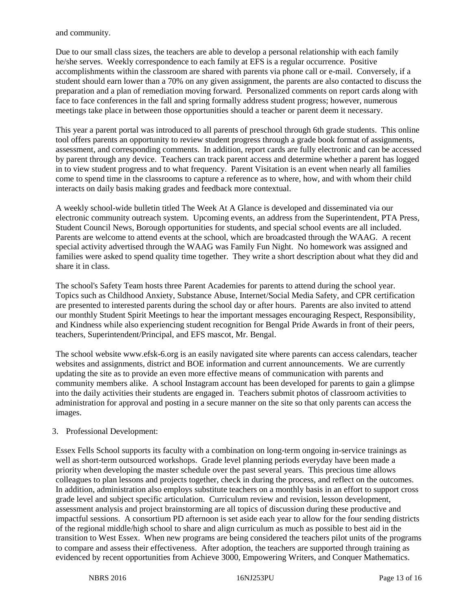and community.

Due to our small class sizes, the teachers are able to develop a personal relationship with each family he/she serves. Weekly correspondence to each family at EFS is a regular occurrence. Positive accomplishments within the classroom are shared with parents via phone call or e-mail. Conversely, if a student should earn lower than a 70% on any given assignment, the parents are also contacted to discuss the preparation and a plan of remediation moving forward. Personalized comments on report cards along with face to face conferences in the fall and spring formally address student progress; however, numerous meetings take place in between those opportunities should a teacher or parent deem it necessary.

This year a parent portal was introduced to all parents of preschool through 6th grade students. This online tool offers parents an opportunity to review student progress through a grade book format of assignments, assessment, and corresponding comments. In addition, report cards are fully electronic and can be accessed by parent through any device. Teachers can track parent access and determine whether a parent has logged in to view student progress and to what frequency. Parent Visitation is an event when nearly all families come to spend time in the classrooms to capture a reference as to where, how, and with whom their child interacts on daily basis making grades and feedback more contextual.

A weekly school-wide bulletin titled The Week At A Glance is developed and disseminated via our electronic community outreach system. Upcoming events, an address from the Superintendent, PTA Press, Student Council News, Borough opportunities for students, and special school events are all included. Parents are welcome to attend events at the school, which are broadcasted through the WAAG. A recent special activity advertised through the WAAG was Family Fun Night. No homework was assigned and families were asked to spend quality time together. They write a short description about what they did and share it in class.

The school's Safety Team hosts three Parent Academies for parents to attend during the school year. Topics such as Childhood Anxiety, Substance Abuse, Internet/Social Media Safety, and CPR certification are presented to interested parents during the school day or after hours. Parents are also invited to attend our monthly Student Spirit Meetings to hear the important messages encouraging Respect, Responsibility, and Kindness while also experiencing student recognition for Bengal Pride Awards in front of their peers, teachers, Superintendent/Principal, and EFS mascot, Mr. Bengal.

The school website www.efsk-6.org is an easily navigated site where parents can access calendars, teacher websites and assignments, district and BOE information and current announcements. We are currently updating the site as to provide an even more effective means of communication with parents and community members alike. A school Instagram account has been developed for parents to gain a glimpse into the daily activities their students are engaged in. Teachers submit photos of classroom activities to administration for approval and posting in a secure manner on the site so that only parents can access the images.

#### 3. Professional Development:

Essex Fells School supports its faculty with a combination on long-term ongoing in-service trainings as well as short-term outsourced workshops. Grade level planning periods everyday have been made a priority when developing the master schedule over the past several years. This precious time allows colleagues to plan lessons and projects together, check in during the process, and reflect on the outcomes. In addition, administration also employs substitute teachers on a monthly basis in an effort to support cross grade level and subject specific articulation. Curriculum review and revision, lesson development, assessment analysis and project brainstorming are all topics of discussion during these productive and impactful sessions. A consortium PD afternoon is set aside each year to allow for the four sending districts of the regional middle/high school to share and align curriculum as much as possible to best aid in the transition to West Essex. When new programs are being considered the teachers pilot units of the programs to compare and assess their effectiveness. After adoption, the teachers are supported through training as evidenced by recent opportunities from Achieve 3000, Empowering Writers, and Conquer Mathematics.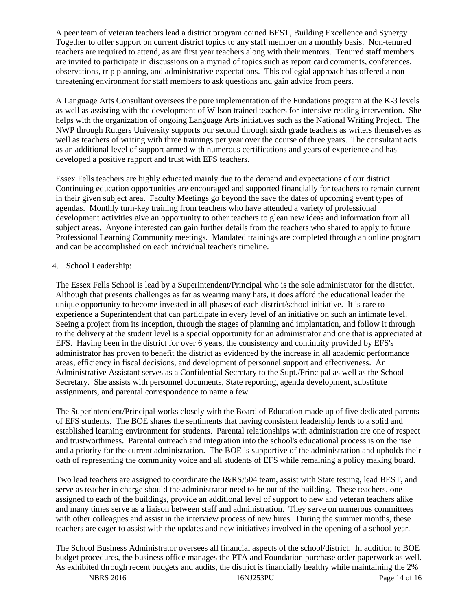A peer team of veteran teachers lead a district program coined BEST, Building Excellence and Synergy Together to offer support on current district topics to any staff member on a monthly basis. Non-tenured teachers are required to attend, as are first year teachers along with their mentors. Tenured staff members are invited to participate in discussions on a myriad of topics such as report card comments, conferences, observations, trip planning, and administrative expectations. This collegial approach has offered a nonthreatening environment for staff members to ask questions and gain advice from peers.

A Language Arts Consultant oversees the pure implementation of the Fundations program at the K-3 levels as well as assisting with the development of Wilson trained teachers for intensive reading intervention. She helps with the organization of ongoing Language Arts initiatives such as the National Writing Project. The NWP through Rutgers University supports our second through sixth grade teachers as writers themselves as well as teachers of writing with three trainings per year over the course of three years. The consultant acts as an additional level of support armed with numerous certifications and years of experience and has developed a positive rapport and trust with EFS teachers.

Essex Fells teachers are highly educated mainly due to the demand and expectations of our district. Continuing education opportunities are encouraged and supported financially for teachers to remain current in their given subject area. Faculty Meetings go beyond the save the dates of upcoming event types of agendas. Monthly turn-key training from teachers who have attended a variety of professional development activities give an opportunity to other teachers to glean new ideas and information from all subject areas. Anyone interested can gain further details from the teachers who shared to apply to future Professional Learning Community meetings. Mandated trainings are completed through an online program and can be accomplished on each individual teacher's timeline.

#### 4. School Leadership:

The Essex Fells School is lead by a Superintendent/Principal who is the sole administrator for the district. Although that presents challenges as far as wearing many hats, it does afford the educational leader the unique opportunity to become invested in all phases of each district/school initiative. It is rare to experience a Superintendent that can participate in every level of an initiative on such an intimate level. Seeing a project from its inception, through the stages of planning and implantation, and follow it through to the delivery at the student level is a special opportunity for an administrator and one that is appreciated at EFS. Having been in the district for over 6 years, the consistency and continuity provided by EFS's administrator has proven to benefit the district as evidenced by the increase in all academic performance areas, efficiency in fiscal decisions, and development of personnel support and effectiveness. An Administrative Assistant serves as a Confidential Secretary to the Supt./Principal as well as the School Secretary. She assists with personnel documents, State reporting, agenda development, substitute assignments, and parental correspondence to name a few.

The Superintendent/Principal works closely with the Board of Education made up of five dedicated parents of EFS students. The BOE shares the sentiments that having consistent leadership lends to a solid and established learning environment for students. Parental relationships with administration are one of respect and trustworthiness. Parental outreach and integration into the school's educational process is on the rise and a priority for the current administration. The BOE is supportive of the administration and upholds their oath of representing the community voice and all students of EFS while remaining a policy making board.

Two lead teachers are assigned to coordinate the I&RS/504 team, assist with State testing, lead BEST, and serve as teacher in charge should the administrator need to be out of the building. These teachers, one assigned to each of the buildings, provide an additional level of support to new and veteran teachers alike and many times serve as a liaison between staff and administration. They serve on numerous committees with other colleagues and assist in the interview process of new hires. During the summer months, these teachers are eager to assist with the updates and new initiatives involved in the opening of a school year.

The School Business Administrator oversees all financial aspects of the school/district. In addition to BOE budget procedures, the business office manages the PTA and Foundation purchase order paperwork as well. As exhibited through recent budgets and audits, the district is financially healthy while maintaining the 2%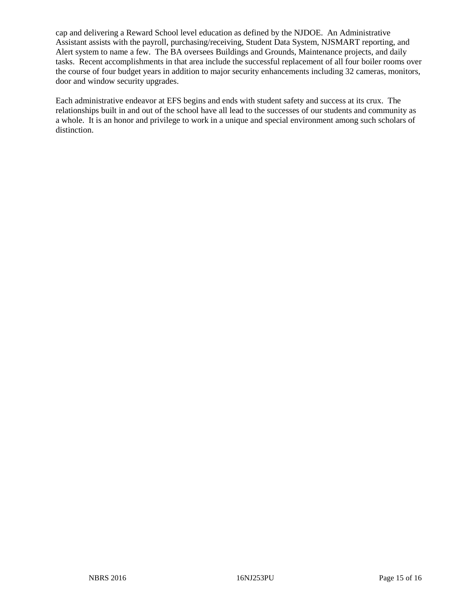cap and delivering a Reward School level education as defined by the NJDOE. An Administrative Assistant assists with the payroll, purchasing/receiving, Student Data System, NJSMART reporting, and Alert system to name a few. The BA oversees Buildings and Grounds, Maintenance projects, and daily tasks. Recent accomplishments in that area include the successful replacement of all four boiler rooms over the course of four budget years in addition to major security enhancements including 32 cameras, monitors, door and window security upgrades.

Each administrative endeavor at EFS begins and ends with student safety and success at its crux. The relationships built in and out of the school have all lead to the successes of our students and community as a whole. It is an honor and privilege to work in a unique and special environment among such scholars of distinction.